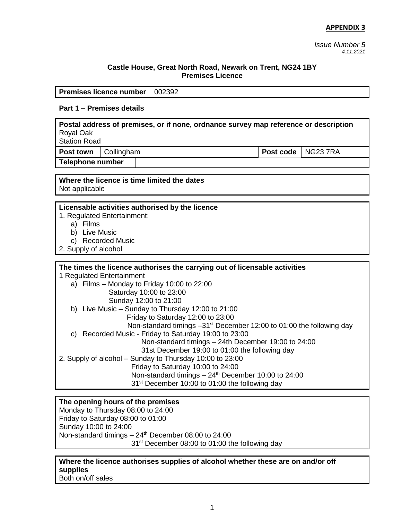*Issue Number 5 4.11.2021*

#### **Castle House, Great North Road, Newark on Trent, NG24 1BY Premises Licence**

**Premises licence number** 002392

## **Part 1 – Premises details**

**Postal address of premises, or if none, ordnance survey map reference or description** Royal Oak

Station Road

**Post town** Collingham **Post code** NG23 7RA

**Telephone number**

**Where the licence is time limited the dates** Not applicable

#### **Licensable activities authorised by the licence**

1. Regulated Entertainment:

- a) Films
- b) Live Music
- c) Recorded Music
- 2. Supply of alcohol

## **The times the licence authorises the carrying out of licensable activities** 1 Regulated Entertainment a) Films – Monday to Friday 10:00 to 22:00 Saturday 10:00 to 23:00 Sunday 12:00 to 21:00 b) Live Music – Sunday to Thursday 12:00 to 21:00 Friday to Saturday 12:00 to 23:00 Non-standard timings -31<sup>st</sup> December 12:00 to 01:00 the following day c) Recorded Music - Friday to Saturday 19:00 to 23:00 Non-standard timings – 24th December 19:00 to 24:00 31st December 19:00 to 01:00 the following day 2. Supply of alcohol – Sunday to Thursday 10:00 to 23:00 Friday to Saturday 10:00 to 24:00 Non-standard timings  $-24<sup>th</sup>$  December 10:00 to 24:00 31st December 10:00 to 01:00 the following day

## **The opening hours of the premises**

Monday to Thursday 08:00 to 24:00 Friday to Saturday 08:00 to 01:00 Sunday 10:00 to 24:00 Non-standard timings  $-24$ <sup>th</sup> December 08:00 to 24:00 31<sup>st</sup> December 08:00 to 01:00 the following day

**Where the licence authorises supplies of alcohol whether these are on and/or off supplies** Both on/off sales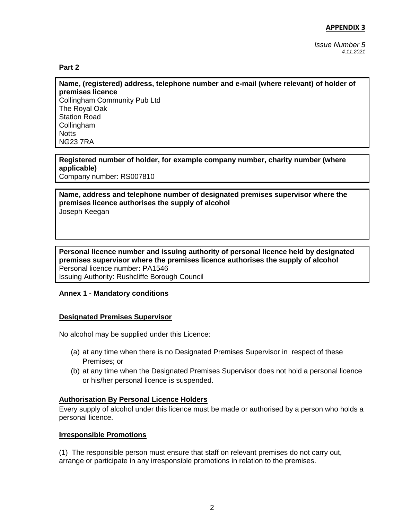*Issue Number 5 4.11.2021*

#### **Part 2**

**Name, (registered) address, telephone number and e-mail (where relevant) of holder of premises licence** Collingham Community Pub Ltd The Royal Oak Station Road Collingham **Notts** NG23 7RA

#### **Registered number of holder, for example company number, charity number (where applicable)**

Company number: RS007810

### **Name, address and telephone number of designated premises supervisor where the premises licence authorises the supply of alcohol** Joseph Keegan

#### **Personal licence number and issuing authority of personal licence held by designated premises supervisor where the premises licence authorises the supply of alcohol** Personal licence number: PA1546 Issuing Authority: Rushcliffe Borough Council

#### **Annex 1 - Mandatory conditions**

#### **Designated Premises Supervisor**

No alcohol may be supplied under this Licence:

- (a) at any time when there is no Designated Premises Supervisor in respect of these Premises; or
- (b) at any time when the Designated Premises Supervisor does not hold a personal licence or his/her personal licence is suspended.

#### **Authorisation By Personal Licence Holders**

Every supply of alcohol under this licence must be made or authorised by a person who holds a personal licence.

#### **Irresponsible Promotions**

(1) The responsible person must ensure that staff on relevant premises do not carry out, arrange or participate in any irresponsible promotions in relation to the premises.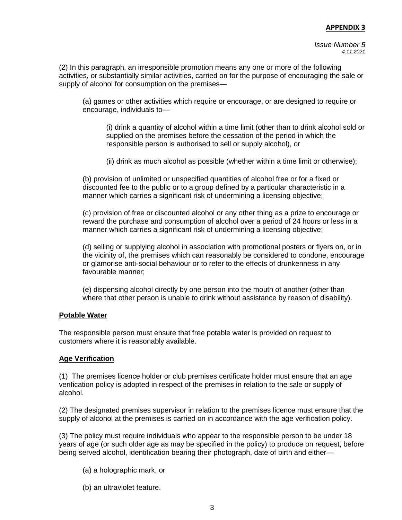*Issue Number 5 4.11.2021*

(2) In this paragraph, an irresponsible promotion means any one or more of the following activities, or substantially similar activities, carried on for the purpose of encouraging the sale or supply of alcohol for consumption on the premises—

(a) games or other activities which require or encourage, or are designed to require or encourage, individuals to—

(i) drink a quantity of alcohol within a time limit (other than to drink alcohol sold or supplied on the premises before the cessation of the period in which the responsible person is authorised to sell or supply alcohol), or

(ii) drink as much alcohol as possible (whether within a time limit or otherwise);

(b) provision of unlimited or unspecified quantities of alcohol free or for a fixed or discounted fee to the public or to a group defined by a particular characteristic in a manner which carries a significant risk of undermining a licensing objective;

(c) provision of free or discounted alcohol or any other thing as a prize to encourage or reward the purchase and consumption of alcohol over a period of 24 hours or less in a manner which carries a significant risk of undermining a licensing objective;

(d) selling or supplying alcohol in association with promotional posters or flyers on, or in the vicinity of, the premises which can reasonably be considered to condone, encourage or glamorise anti-social behaviour or to refer to the effects of drunkenness in any favourable manner;

(e) dispensing alcohol directly by one person into the mouth of another (other than where that other person is unable to drink without assistance by reason of disability).

#### **Potable Water**

The responsible person must ensure that free potable water is provided on request to customers where it is reasonably available.

#### **Age Verification**

(1) The premises licence holder or club premises certificate holder must ensure that an age verification policy is adopted in respect of the premises in relation to the sale or supply of alcohol.

(2) The designated premises supervisor in relation to the premises licence must ensure that the supply of alcohol at the premises is carried on in accordance with the age verification policy.

(3) The policy must require individuals who appear to the responsible person to be under 18 years of age (or such older age as may be specified in the policy) to produce on request, before being served alcohol, identification bearing their photograph, date of birth and either—

- (a) a holographic mark, or
- (b) an ultraviolet feature.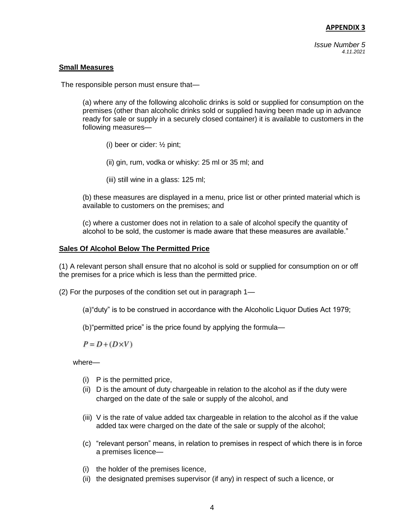*Issue Number 5 4.11.2021*

### **Small Measures**

The responsible person must ensure that—

(a) where any of the following alcoholic drinks is sold or supplied for consumption on the premises (other than alcoholic drinks sold or supplied having been made up in advance ready for sale or supply in a securely closed container) it is available to customers in the following measures—

- (i) beer or cider: ½ pint;
- (ii) gin, rum, vodka or whisky: 25 ml or 35 ml; and
- (iii) still wine in a glass: 125 ml;

(b) these measures are displayed in a menu, price list or other printed material which is available to customers on the premises; and

(c) where a customer does not in relation to a sale of alcohol specify the quantity of alcohol to be sold, the customer is made aware that these measures are available."

### **Sales Of Alcohol Below The Permitted Price**

(1) A relevant person shall ensure that no alcohol is sold or supplied for consumption on or off the premises for a price which is less than the permitted price.

(2) For the purposes of the condition set out in paragraph 1—

(a)"duty" is to be construed in accordance with the Alcoholic Liquor Duties Act 1979;

(b)"permitted price" is the price found by applying the formula—

 $P = D + (D \times V)$ 

where—

- (i) P is the permitted price,
- (ii) D is the amount of duty chargeable in relation to the alcohol as if the duty were charged on the date of the sale or supply of the alcohol, and
- (iii) V is the rate of value added tax chargeable in relation to the alcohol as if the value added tax were charged on the date of the sale or supply of the alcohol;
- (c) "relevant person" means, in relation to premises in respect of which there is in force a premises licence—
- (i) the holder of the premises licence,
- (ii) the designated premises supervisor (if any) in respect of such a licence, or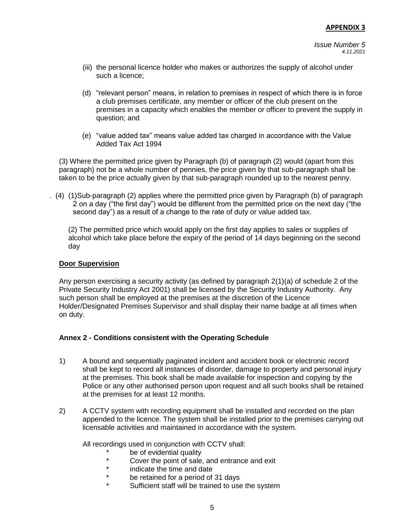- (iii) the personal licence holder who makes or authorizes the supply of alcohol under such a licence;
- (d) "relevant person" means, in relation to premises in respect of which there is in force a club premises certificate, any member or officer of the club present on the premises in a capacity which enables the member or officer to prevent the supply in question; and
- (e) "value added tax" means value added tax charged in accordance with the Value Added Tax Act 1994

(3) Where the permitted price given by Paragraph (b) of paragraph (2) would (apart from this paragraph) not be a whole number of pennies, the price given by that sub-paragraph shall be taken to be the price actually given by that sub-paragraph rounded up to the nearest penny.

. (4) (1)Sub-paragraph (2) applies where the permitted price given by Paragraph (b) of paragraph 2 on a day ("the first day") would be different from the permitted price on the next day ("the second day") as a result of a change to the rate of duty or value added tax.

(2) The permitted price which would apply on the first day applies to sales or supplies of alcohol which take place before the expiry of the period of 14 days beginning on the second day

## **Door Supervision**

Any person exercising a security activity (as defined by paragraph 2(1)(a) of schedule 2 of the Private Security Industry Act 2001) shall be licensed by the Security Industry Authority. Any such person shall be employed at the premises at the discretion of the Licence Holder/Designated Premises Supervisor and shall display their name badge at all times when on duty.

## **Annex 2 - Conditions consistent with the Operating Schedule**

- 1) A bound and sequentially paginated incident and accident book or electronic record shall be kept to record all instances of disorder, damage to property and personal injury at the premises. This book shall be made available for inspection and copying by the Police or any other authorised person upon request and all such books shall be retained at the premises for at least 12 months.
- 2) A CCTV system with recording equipment shall be installed and recorded on the plan appended to the licence. The system shall be installed prior to the premises carrying out licensable activities and maintained in accordance with the system.

All recordings used in conjunction with CCTV shall:

- \* be of evidential quality<br>A Cover the point of sale
- \* Cover the point of sale, and entrance and exit<br>\* indicate the time and date
- \* indicate the time and date<br>\* be retained for a period of
- be retained for a period of 31 days
- Sufficient staff will be trained to use the system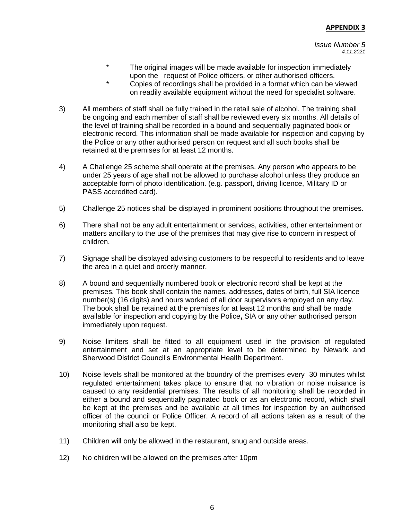- The original images will be made available for inspection immediately upon the request of Police officers, or other authorised officers.
- \* Copies of recordings shall be provided in a format which can be viewed on readily available equipment without the need for specialist software.
- 3) All members of staff shall be fully trained in the retail sale of alcohol. The training shall be ongoing and each member of staff shall be reviewed every six months. All details of the level of training shall be recorded in a bound and sequentially paginated book or electronic record. This information shall be made available for inspection and copying by the Police or any other authorised person on request and all such books shall be retained at the premises for at least 12 months.
- 4) A Challenge 25 scheme shall operate at the premises. Any person who appears to be under 25 years of age shall not be allowed to purchase alcohol unless they produce an acceptable form of photo identification. (e.g. passport, driving licence, Military ID or PASS accredited card).
- 5) Challenge 25 notices shall be displayed in prominent positions throughout the premises.
- 6) There shall not be any adult entertainment or services, activities, other entertainment or matters ancillary to the use of the premises that may give rise to concern in respect of children.
- 7) Signage shall be displayed advising customers to be respectful to residents and to leave the area in a quiet and orderly manner.
- 8) A bound and sequentially numbered book or electronic record shall be kept at the premises. This book shall contain the names, addresses, dates of birth, full SIA licence number(s) (16 digits) and hours worked of all door supervisors employed on any day. The book shall be retained at the premises for at least 12 months and shall be made available for inspection and copying by the Police**,** SIA or any other authorised person immediately upon request.
- 9) Noise limiters shall be fitted to all equipment used in the provision of regulated entertainment and set at an appropriate level to be determined by Newark and Sherwood District Council's Environmental Health Department.
- 10) Noise levels shall be monitored at the boundry of the premises every 30 minutes whilst regulated entertainment takes place to ensure that no vibration or noise nuisance is caused to any residential premises. The results of all monitoring shall be recorded in either a bound and sequentially paginated book or as an electronic record, which shall be kept at the premises and be available at all times for inspection by an authorised officer of the council or Police Officer. A record of all actions taken as a result of the monitoring shall also be kept.
- 11) Children will only be allowed in the restaurant, snug and outside areas.
- 12) No children will be allowed on the premises after 10pm